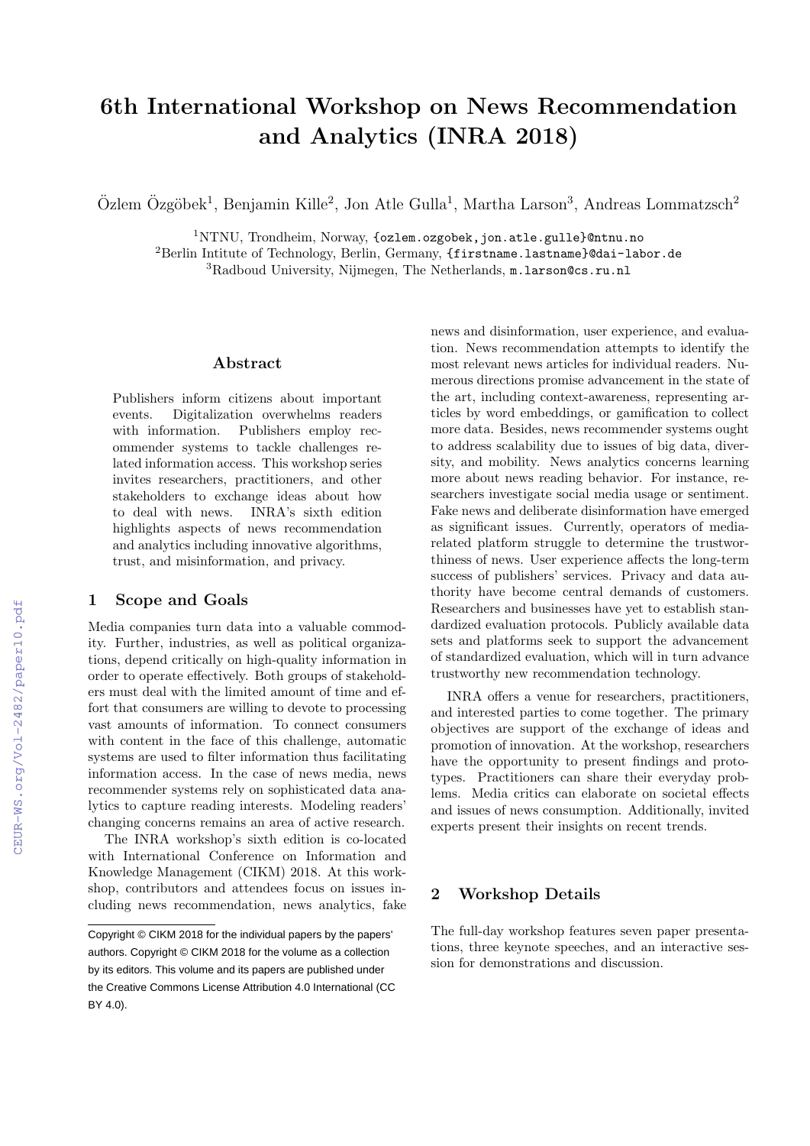# 6th International Workshop on News Recommendation and Analytics (INRA 2018)

 $\ddot{\text{O}}$ zlem  $\ddot{\text{O}}$ zgöbek<sup>1</sup>, Benjamin Kille<sup>2</sup>, Jon Atle Gulla<sup>1</sup>, Martha Larson<sup>3</sup>, Andreas Lommatzsch<sup>2</sup>

 $1NTNU$ , Trondheim, Norway, {ozlem.ozgobek, jon.atle.gulle}@ntnu.no <sup>2</sup>Berlin Intitute of Technology, Berlin, Germany, {firstname.lastname}@dai-labor.de <sup>3</sup>Radboud University, Nijmegen, The Netherlands, m.larson@cs.ru.nl

#### Abstract

Publishers inform citizens about important events. Digitalization overwhelms readers with information. Publishers employ recommender systems to tackle challenges related information access. This workshop series invites researchers, practitioners, and other stakeholders to exchange ideas about how to deal with news. INRA's sixth edition highlights aspects of news recommendation and analytics including innovative algorithms, trust, and misinformation, and privacy.

#### 1 Scope and Goals

Media companies turn data into a valuable commodity. Further, industries, as well as political organizations, depend critically on high-quality information in order to operate effectively. Both groups of stakeholders must deal with the limited amount of time and effort that consumers are willing to devote to processing vast amounts of information. To connect consumers with content in the face of this challenge, automatic systems are used to filter information thus facilitating information access. In the case of news media, news recommender systems rely on sophisticated data analytics to capture reading interests. Modeling readers' changing concerns remains an area of active research.

The INRA workshop's sixth edition is co-located with International Conference on Information and Knowledge Management (CIKM) 2018. At this workshop, contributors and attendees focus on issues including news recommendation, news analytics, fake

news and disinformation, user experience, and evaluation. News recommendation attempts to identify the most relevant news articles for individual readers. Numerous directions promise advancement in the state of the art, including context-awareness, representing articles by word embeddings, or gamification to collect more data. Besides, news recommender systems ought to address scalability due to issues of big data, diversity, and mobility. News analytics concerns learning more about news reading behavior. For instance, researchers investigate social media usage or sentiment. Fake news and deliberate disinformation have emerged as significant issues. Currently, operators of mediarelated platform struggle to determine the trustworthiness of news. User experience affects the long-term success of publishers' services. Privacy and data authority have become central demands of customers. Researchers and businesses have yet to establish standardized evaluation protocols. Publicly available data sets and platforms seek to support the advancement of standardized evaluation, which will in turn advance trustworthy new recommendation technology.

INRA offers a venue for researchers, practitioners, and interested parties to come together. The primary objectives are support of the exchange of ideas and promotion of innovation. At the workshop, researchers have the opportunity to present findings and prototypes. Practitioners can share their everyday problems. Media critics can elaborate on societal effects and issues of news consumption. Additionally, invited experts present their insights on recent trends.

#### 2 Workshop Details

The full-day workshop features seven paper presentations, three keynote speeches, and an interactive session for demonstrations and discussion.

Copyright © CIKM 2018 for the individual papers by the papers' authors. Copyright © CIKM 2018 for the volume as a collection by its editors. This volume and its papers are published under the Creative Commons License Attribution 4.0 International (CC BY 4.0).